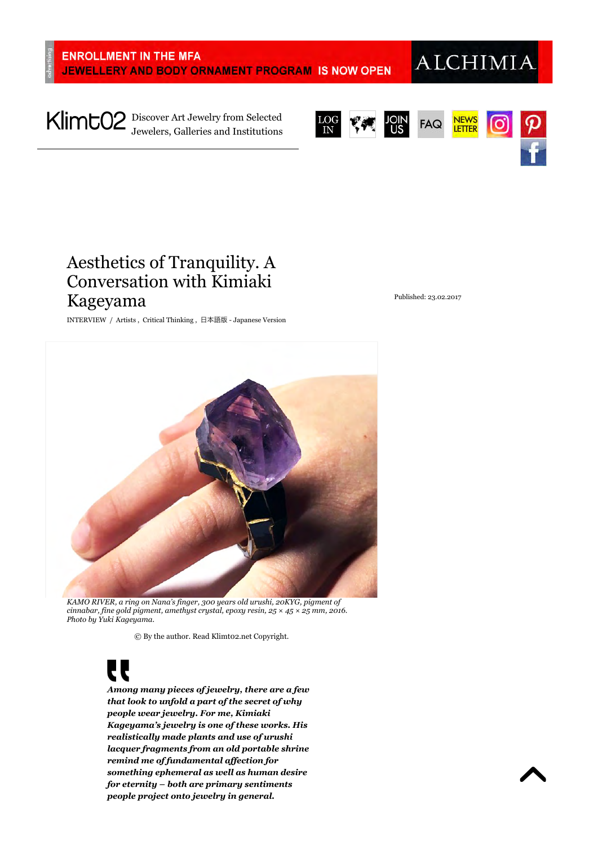# **ALCHIMIA**

Discover Art Jewelry from Selected Jewelers, Galleries and Institutions







# Aesthetics of Tranquility. A Conversation with Kimiaki Kageyama

INTERVIEW / Artists , Critical Thinking , 日本語版 - Japanese Version

Published: 23.02.2017



*KAMO RIVER, a ring on Nana's finger, 300 years old urushi, 20KYG, pigment of cinnabar, fine gold pigment, amethyst crystal, epoxy resin, 25 × 45 × 25 mm, 2016. Photo by Yuki Kageyama.*

© By the author. Read Klimt02.net Copyright.

*Among many pieces of jewelry, there are a few that look to unfold a part of the secret of why people wear jewelry. For me, Kimiaki Kageyama's jewelry is one of these works. His realistically made plants and use of urushi lacquer fragments from an old portable shrine remind me of fundamental affection for something ephemeral as well as human desire for eternity – both are primary sentiments people project onto jewelry in general.*

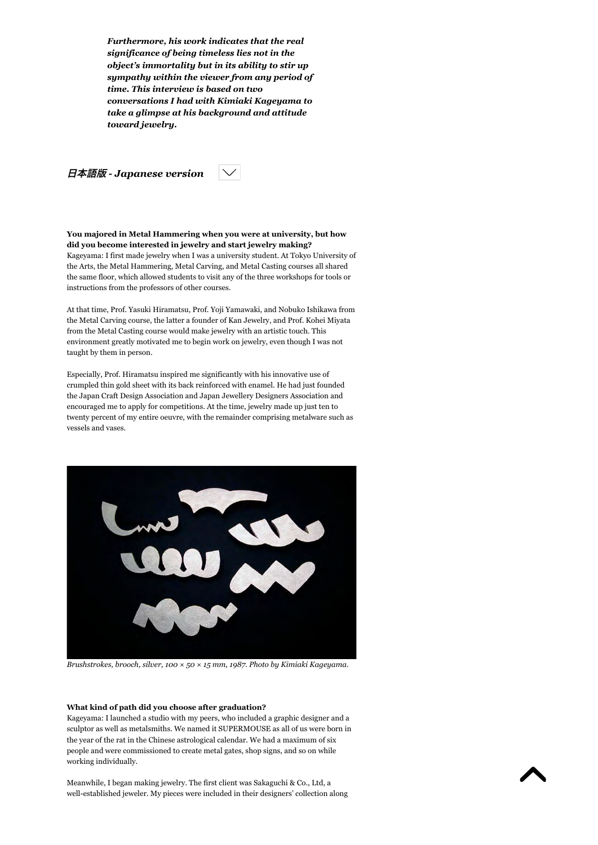*Furthermore, his work indicates that the real significance of being timeless lies not in the object's immortality but in its ability to stir up sympathy within the viewer from any period of time. This interview is based on two conversations I had with Kimiaki Kageyama to take a glimpse at his background and attitude toward jewelry.*



**You majored in Metal Hammering when you were at university, but how did you become interested in jewelry and start jewelry making?** Kageyama: I first made jewelry when I was a university student. At Tokyo University of the Arts, the Metal Hammering, Metal Carving, and Metal Casting courses all shared the same floor, which allowed students to visit any of the three workshops for tools or instructions from the professors of other courses.

At that time, Prof. Yasuki Hiramatsu, Prof. Yoji Yamawaki, and Nobuko Ishikawa from the Metal Carving course, the latter a founder of Kan Jewelry, and Prof. Kohei Miyata from the Metal Casting course would make jewelry with an artistic touch. This environment greatly motivated me to begin work on jewelry, even though I was not taught by them in person.

Especially, Prof. Hiramatsu inspired me significantly with his innovative use of crumpled thin gold sheet with its back reinforced with enamel. He had just founded the Japan Craft Design Association and Japan Jewellery Designers Association and encouraged me to apply for competitions. At the time, jewelry made up just ten to twenty percent of my entire oeuvre, with the remainder comprising metalware such as vessels and vases.



*Brushstrokes, brooch, silver, 100 × 50 × 15 mm, 1987. Photo by Kimiaki Kageyama.*

#### **What kind of path did you choose after graduation?**

Kageyama: I launched a studio with my peers, who included a graphic designer and a sculptor as well as metalsmiths. We named it SUPERMOUSE as all of us were born in the year of the rat in the Chinese astrological calendar. We had a maximum of six people and were commissioned to create metal gates, shop signs, and so on while working individually.

Meanwhile, I began making jewelry. The first client was Sakaguchi & Co., Ltd, a well-established jeweler. My pieces were included in their designers' collection along

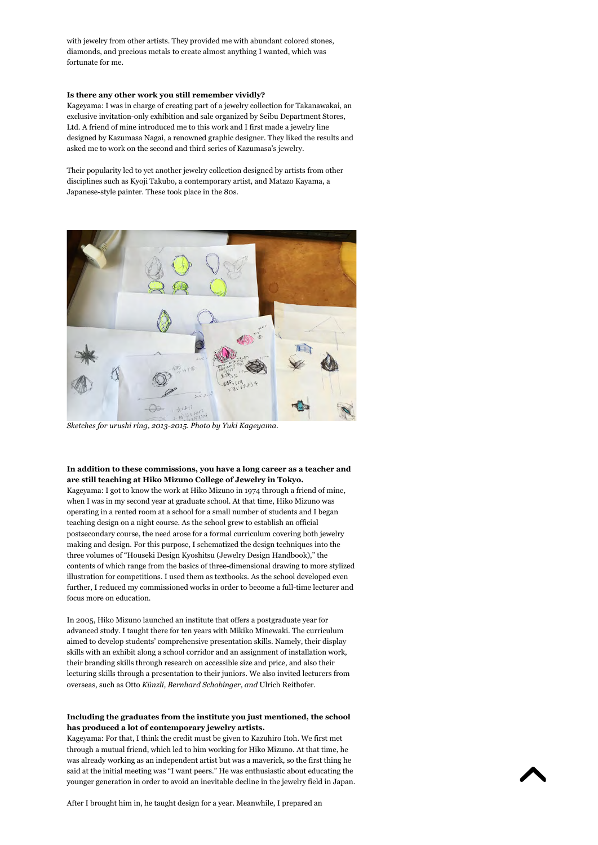with jewelry from other artists. They provided me with abundant colored stones, diamonds, and precious metals to create almost anything I wanted, which was fortunate for me.

#### **Is there any other work you still remember vividly?**

Kageyama: I was in charge of creating part of a jewelry collection for Takanawakai, an exclusive invitation-only exhibition and sale organized by Seibu Department Stores, Ltd. A friend of mine introduced me to this work and I first made a jewelry line designed by Kazumasa Nagai, a renowned graphic designer. They liked the results and asked me to work on the second and third series of Kazumasa's jewelry.

Their popularity led to yet another jewelry collection designed by artists from other disciplines such as Kyoji Takubo, a contemporary artist, and Matazo Kayama, a Japanese-style painter. These took place in the 80s.



*Sketches for urushi ring, 2013-2015. Photo by Yuki Kageyama.*

#### **In addition to these commissions, you have a long career as a teacher and are still teaching at Hiko Mizuno College of Jewelry in Tokyo.**

Kageyama: I got to know the work at Hiko Mizuno in 1974 through a friend of mine, when I was in my second year at graduate school. At that time, Hiko Mizuno was operating in a rented room at a school for a small number of students and I began teaching design on a night course. As the school grew to establish an official postsecondary course, the need arose for a formal curriculum covering both jewelry making and design. For this purpose, I schematized the design techniques into the three volumes of "Houseki Design Kyoshitsu (Jewelry Design Handbook)," the contents of which range from the basics of three-dimensional drawing to more stylized illustration for competitions. I used them as textbooks. As the school developed even further, I reduced my commissioned works in order to become a full-time lecturer and focus more on education.

In 2005, Hiko Mizuno launched an institute that offers a postgraduate year for advanced study. I taught there for ten years with Mikiko Minewaki. The curriculum aimed to develop students' comprehensive presentation skills. Namely, their display skills with an exhibit along a school corridor and an assignment of installation work, their branding skills through research on accessible size and price, and also their lecturing skills through a presentation to their juniors. We also invited lecturers from overseas, such as Otto *Künzli, Bernhard Schobinger, and* Ulrich Reithofer.

#### **Including the graduates from the institute you just mentioned, the school has produced a lot of contemporary jewelry artists.**

Kageyama: For that, I think the credit must be given to Kazuhiro Itoh. We first met through a mutual friend, which led to him working for Hiko Mizuno. At that time, he was already working as an independent artist but was a maverick, so the first thing he said at the initial meeting was "I want peers." He was enthusiastic about educating the younger generation in order to avoid an inevitable decline in the jewelry field in Japan.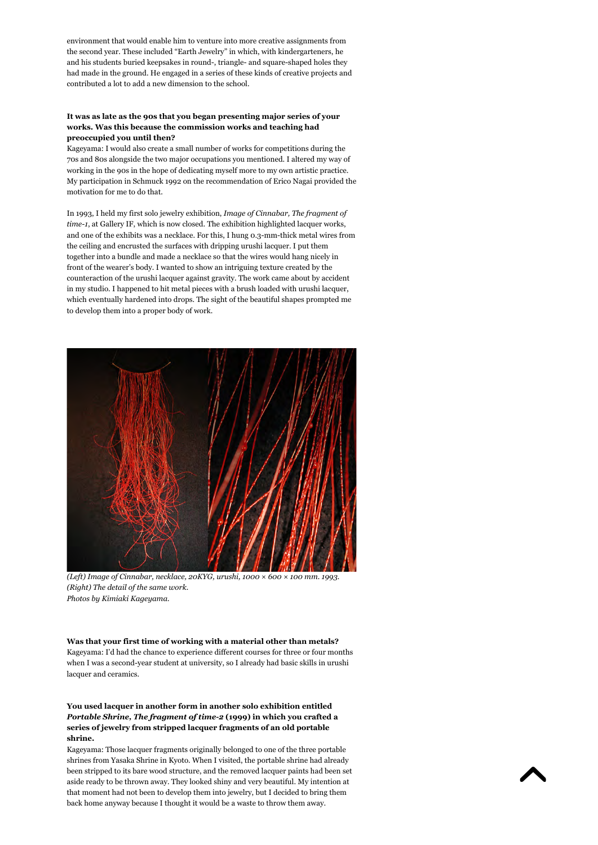environment that would enable him to venture into more creative assignments from the second year. These included "Earth Jewelry" in which, with kindergarteners, he and his students buried keepsakes in round-, triangle- and square-shaped holes they had made in the ground. He engaged in a series of these kinds of creative projects and contributed a lot to add a new dimension to the school.

#### **It was as late as the 90s that you began presenting major series of your works. Was this because the commission works and teaching had preoccupied you until then?**

Kageyama: I would also create a small number of works for competitions during the 70s and 80s alongside the two major occupations you mentioned. I altered my way of working in the 90s in the hope of dedicating myself more to my own artistic practice. My participation in Schmuck 1992 on the recommendation of Erico Nagai provided the motivation for me to do that.

In 1993, I held my first solo jewelry exhibition, *Image of Cinnabar, The fragment of time-1*, at Gallery IF, which is now closed. The exhibition highlighted lacquer works, and one of the exhibits was a necklace. For this, I hung 0.3-mm-thick metal wires from the ceiling and encrusted the surfaces with dripping urushi lacquer. I put them together into a bundle and made a necklace so that the wires would hang nicely in front of the wearer's body. I wanted to show an intriguing texture created by the counteraction of the urushi lacquer against gravity. The work came about by accident in my studio. I happened to hit metal pieces with a brush loaded with urushi lacquer, which eventually hardened into drops. The sight of the beautiful shapes prompted me to develop them into a proper body of work.



*(Left) Image of Cinnabar, necklace, 20KYG, urushi, 1000 × 600 × 100 mm. 1993. (Right) The detail of the same work. Photos by Kimiaki Kageyama.*

**Was that your first time of working with a material other than metals?** Kageyama: I'd had the chance to experience different courses for three or four months when I was a second-year student at university, so I already had basic skills in urushi lacquer and ceramics.

#### **You used lacquer in another form in another solo exhibition entitled** *Portable Shrine, The fragment of time-2* **(1999) in which you crafted a series of jewelry from stripped lacquer fragments of an old portable shrine.**

Kageyama: Those lacquer fragments originally belonged to one of the three portable shrines from Yasaka Shrine in Kyoto. When I visited, the portable shrine had already been stripped to its bare wood structure, and the removed lacquer paints had been set aside ready to be thrown away. They looked shiny and very beautiful. My intention at that moment had not been to develop them into jewelry, but I decided to bring them back home anyway because I thought it would be a waste to throw them away.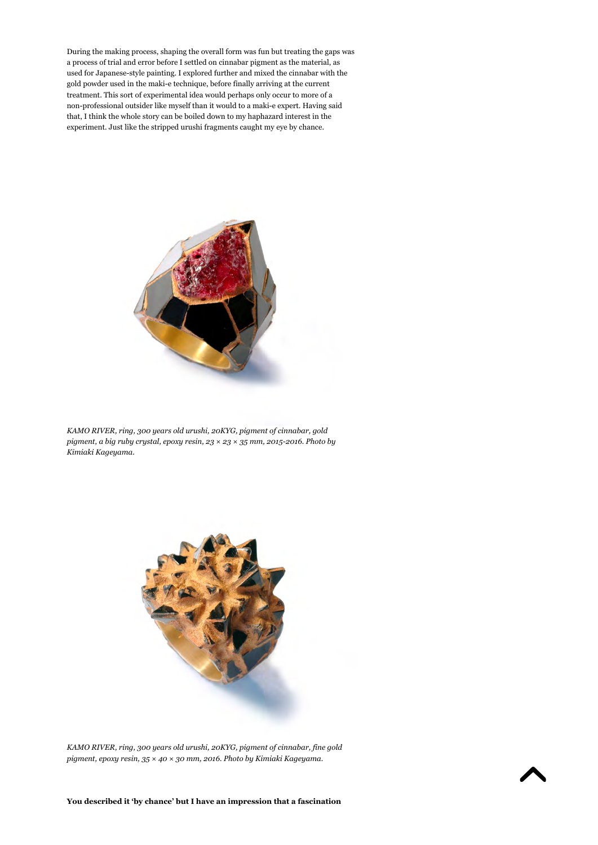During the making process, shaping the overall form was fun but treating the gaps was a process of trial and error before I settled on cinnabar pigment as the material, as used for Japanese-style painting. I explored further and mixed the cinnabar with the gold powder used in the maki-e technique, before finally arriving at the current treatment. This sort of experimental idea would perhaps only occur to more of a non-professional outsider like myself than it would to a maki-e expert. Having said that, I think the whole story can be boiled down to my haphazard interest in the experiment. Just like the stripped urushi fragments caught my eye by chance.



*KAMO RIVER, ring, 300 years old urushi, 20KYG, pigment of cinnabar, gold pigment, a big ruby crystal, epoxy resin, 23 × 23 × 35 mm, 2015-2016. Photo by Kimiaki Kageyama.*



*KAMO RIVER, ring, 300 years old urushi, 20KYG, pigment of cinnabar, fine gold pigment, epoxy resin, 35 × 40 × 30 mm, 2016. Photo by Kimiaki Kageyama.*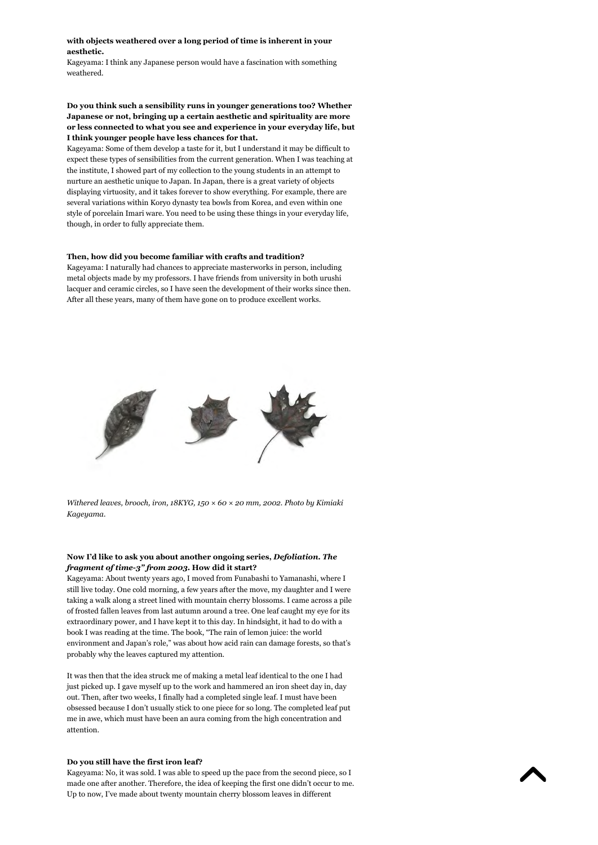**with objects weathered over a long period of time is inherent in your aesthetic.**

Kageyama: I think any Japanese person would have a fascination with something weathered.

#### **Do you think such a sensibility runs in younger generations too? Whether Japanese or not, bringing up a certain aesthetic and spirituality are more or less connected to what you see and experience in your everyday life, but I think younger people have less chances for that.**

Kageyama: Some of them develop a taste for it, but I understand it may be difficult to expect these types of sensibilities from the current generation. When I was teaching at the institute, I showed part of my collection to the young students in an attempt to nurture an aesthetic unique to Japan. In Japan, there is a great variety of objects displaying virtuosity, and it takes forever to show everything. For example, there are several variations within Koryo dynasty tea bowls from Korea, and even within one style of porcelain Imari ware. You need to be using these things in your everyday life, though, in order to fully appreciate them.

#### **Then, how did you become familiar with crafts and tradition?**

Kageyama: I naturally had chances to appreciate masterworks in person, including metal objects made by my professors. I have friends from university in both urushi lacquer and ceramic circles, so I have seen the development of their works since then. After all these years, many of them have gone on to produce excellent works.



*Withered leaves, brooch, iron, 18KYG, 150 × 60 × 20 mm, 2002. Photo by Kimiaki Kageyama.*

#### **Now I'd like to ask you about another ongoing series,** *Defoliation. The fragment of time-3" from 2003***. How did it start?**

Kageyama: About twenty years ago, I moved from Funabashi to Yamanashi, where I still live today. One cold morning, a few years after the move, my daughter and I were taking a walk along a street lined with mountain cherry blossoms. I came across a pile of frosted fallen leaves from last autumn around a tree. One leaf caught my eye for its extraordinary power, and I have kept it to this day. In hindsight, it had to do with a book I was reading at the time. The book, "The rain of lemon juice: the world environment and Japan's role," was about how acid rain can damage forests, so that's probably why the leaves captured my attention.

It was then that the idea struck me of making a metal leaf identical to the one I had just picked up. I gave myself up to the work and hammered an iron sheet day in, day out. Then, after two weeks, I finally had a completed single leaf. I must have been obsessed because I don't usually stick to one piece for so long. The completed leaf put me in awe, which must have been an aura coming from the high concentration and attention.

#### **Do you still have the first iron leaf?**

Kageyama: No, it was sold. I was able to speed up the pace from the second piece, so I made one after another. Therefore, the idea of keeping the first one didn't occur to me. Up to now, I've made about twenty mountain cherry blossom leaves in different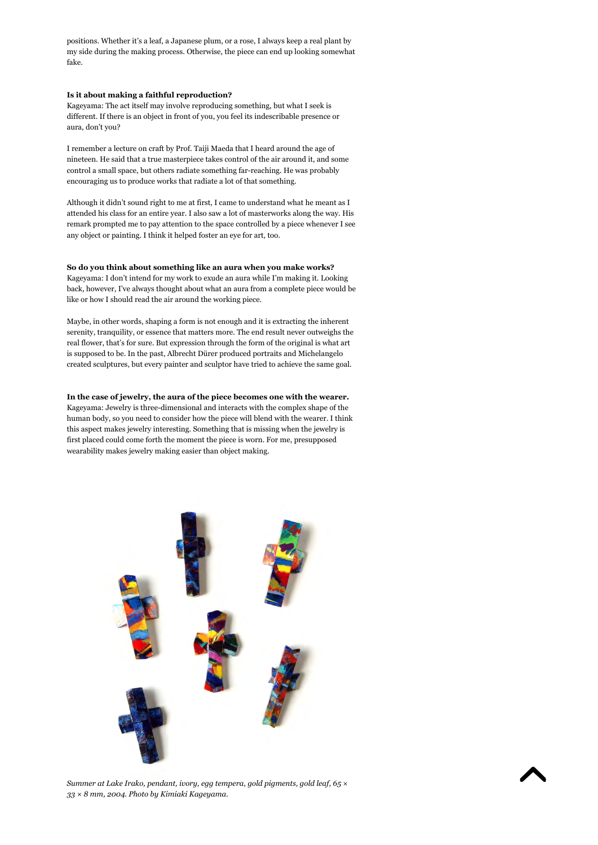positions. Whether it's a leaf, a Japanese plum, or a rose, I always keep a real plant by my side during the making process. Otherwise, the piece can end up looking somewhat fake.

#### **Is it about making a faithful reproduction?**

Kageyama: The act itself may involve reproducing something, but what I seek is different. If there is an object in front of you, you feel its indescribable presence or aura, don't you?

I remember a lecture on craft by Prof. Taiji Maeda that I heard around the age of nineteen. He said that a true masterpiece takes control of the air around it, and some control a small space, but others radiate something far-reaching. He was probably encouraging us to produce works that radiate a lot of that something.

Although it didn't sound right to me at first, I came to understand what he meant as I attended his class for an entire year. I also saw a lot of masterworks along the way. His remark prompted me to pay attention to the space controlled by a piece whenever I see any object or painting. I think it helped foster an eye for art, too.

#### **So do you think about something like an aura when you make works?**

Kageyama: I don't intend for my work to exude an aura while I'm making it. Looking back, however, I've always thought about what an aura from a complete piece would be like or how I should read the air around the working piece.

Maybe, in other words, shaping a form is not enough and it is extracting the inherent serenity, tranquility, or essence that matters more. The end result never outweighs the real flower, that's for sure. But expression through the form of the original is what art is supposed to be. In the past, Albrecht Dürer produced portraits and Michelangelo created sculptures, but every painter and sculptor have tried to achieve the same goal.

#### **In the case of jewelry, the aura of the piece becomes one with the wearer.**

Kageyama: Jewelry is three-dimensional and interacts with the complex shape of the human body, so you need to consider how the piece will blend with the wearer. I think this aspect makes jewelry interesting. Something that is missing when the jewelry is first placed could come forth the moment the piece is worn. For me, presupposed wearability makes jewelry making easier than object making.



*Summer at Lake Irako, pendant, ivory, egg tempera, gold pigments, gold leaf, 65 × 33 × 8 mm, 2004. Photo by Kimiaki Kageyama.*

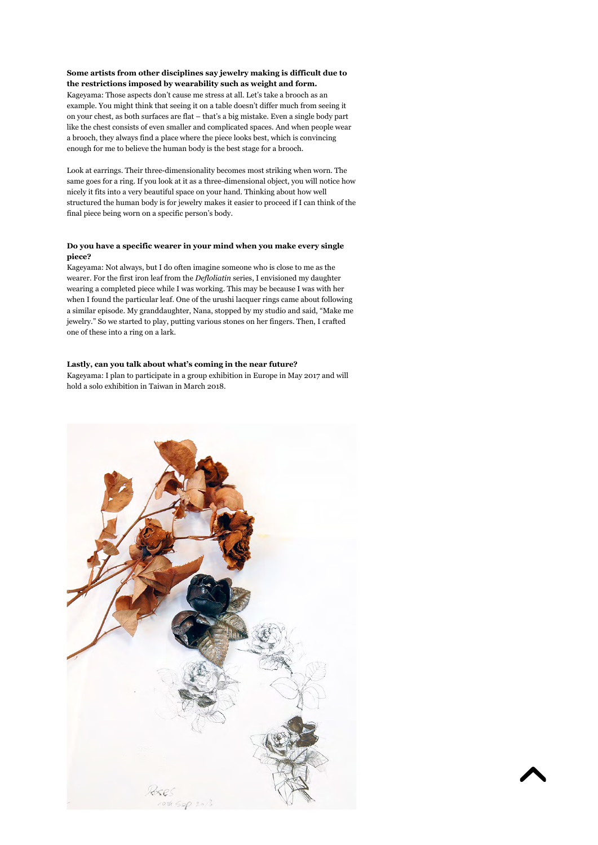#### **Some artists from other disciplines say jewelry making is difficult due to the restrictions imposed by wearability such as weight and form.**

Kageyama: Those aspects don't cause me stress at all. Let's take a brooch as an example. You might think that seeing it on a table doesn't differ much from seeing it on your chest, as both surfaces are flat – that's a big mistake. Even a single body part like the chest consists of even smaller and complicated spaces. And when people wear a brooch, they always find a place where the piece looks best, which is convincing enough for me to believe the human body is the best stage for a brooch.

Look at earrings. Their three-dimensionality becomes most striking when worn. The same goes for a ring. If you look at it as a three-dimensional object, you will notice how nicely it fits into a very beautiful space on your hand. Thinking about how well structured the human body is for jewelry makes it easier to proceed if I can think of the final piece being worn on a specific person's body.

#### **Do you have a specific wearer in your mind when you make every single piece?**

Kageyama: Not always, but I do often imagine someone who is close to me as the wearer. For the first iron leaf from the *Defloliatin* series, I envisioned my daughter wearing a completed piece while I was working. This may be because I was with her when I found the particular leaf. One of the urushi lacquer rings came about following a similar episode. My granddaughter, Nana, stopped by my studio and said, "Make me jewelry." So we started to play, putting various stones on her fingers. Then, I crafted one of these into a ring on a lark.

#### **Lastly, can you talk about what's coming in the near future?**

Kageyama: I plan to participate in a group exhibition in Europe in May 2017 and will hold a solo exhibition in Taiwan in March 2018.